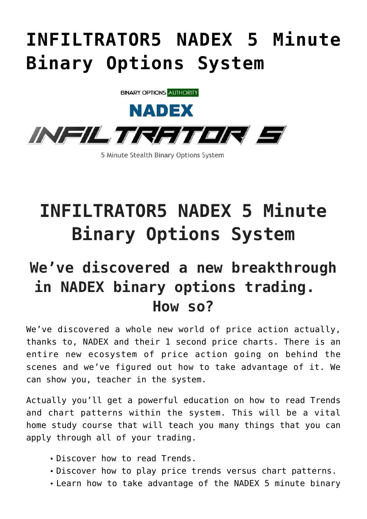## **[INFILTRATOR5 NADEX 5 Minute](https://binaryoptionsauthority.com/infiltrator5-nadex-5-minute-binary-options-system/) [Binary Options System](https://binaryoptionsauthority.com/infiltrator5-nadex-5-minute-binary-options-system/)**



**INFILTRATOR5 NADEX 5 Minute Binary Options System**

## **We've discovered a new breakthrough in NADEX binary options trading. How so?**

We've discovered a whole new world of price action actually, thanks to, NADEX and their 1 second price charts. There is an entire new ecosystem of price action going on behind the scenes and we've figured out how to take advantage of it. We can show you, teacher in the system.

Actually you'll get a powerful education on how to read Trends and chart patterns within the system. This will be a vital home study course that will teach you many things that you can apply through all of your trading.

- Discover how to read Trends.
- Discover how to play price trends versus chart patterns.
- Learn how to take advantage of the NADEX 5 minute binary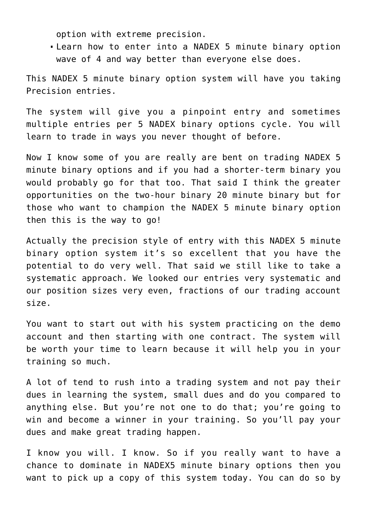option with extreme precision.

Learn how to enter into a NADEX 5 minute binary option wave of 4 and way better than everyone else does.

This NADEX 5 minute binary option system will have you taking Precision entries.

The system will give you a pinpoint entry and sometimes multiple entries per 5 NADEX binary options cycle. You will learn to trade in ways you never thought of before.

Now I know some of you are really are bent on trading NADEX 5 minute binary options and if you had a shorter-term binary you would probably go for that too. That said I think the greater opportunities on the two-hour binary 20 minute binary but for those who want to champion the NADEX 5 minute binary option then this is the way to go!

Actually the precision style of entry with this NADEX 5 minute binary option system it's so excellent that you have the potential to do very well. That said we still like to take a systematic approach. We looked our entries very systematic and our position sizes very even, fractions of our trading account size.

You want to start out with his system practicing on the demo account and then starting with one contract. The system will be worth your time to learn because it will help you in your training so much.

A lot of tend to rush into a trading system and not pay their dues in learning the system, small dues and do you compared to anything else. But you're not one to do that; you're going to win and become a winner in your training. So you'll pay your dues and make great trading happen.

I know you will. I know. So if you really want to have a chance to dominate in NADEX5 minute binary options then you want to pick up a copy of this system today. You can do so by